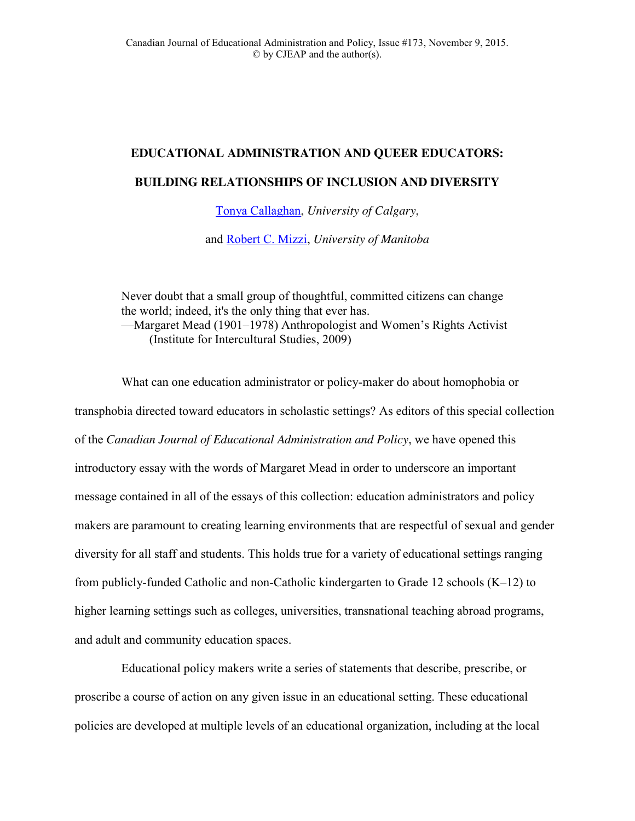## **EDUCATIONAL ADMINISTRATION AND QUEER EDUCATORS: BUILDING RELATIONSHIPS OF INCLUSION AND DIVERSITY**

[Tonya Callaghan,](mailto:tdacalla@ucalgary.ca) *University of Calgary*,

and [Robert C. Mizzi,](mailto:%20robert.mizzi@umanitoba.ca) *University of Manitoba*

Never doubt that a small group of thoughtful, committed citizens can change the world; indeed, it's the only thing that ever has. —Margaret Mead (1901–1978) Anthropologist and Women's Rights Activist (Institute for Intercultural Studies, 2009)

What can one education administrator or policy-maker do about homophobia or transphobia directed toward educators in scholastic settings? As editors of this special collection of the *Canadian Journal of Educational Administration and Policy*, we have opened this introductory essay with the words of Margaret Mead in order to underscore an important message contained in all of the essays of this collection: education administrators and policy makers are paramount to creating learning environments that are respectful of sexual and gender diversity for all staff and students. This holds true for a variety of educational settings ranging from publicly-funded Catholic and non-Catholic kindergarten to Grade 12 schools (K–12) to higher learning settings such as colleges, universities, transnational teaching abroad programs, and adult and community education spaces.

Educational policy makers write a series of statements that describe, prescribe, or proscribe a course of action on any given issue in an educational setting. These educational policies are developed at multiple levels of an educational organization, including at the local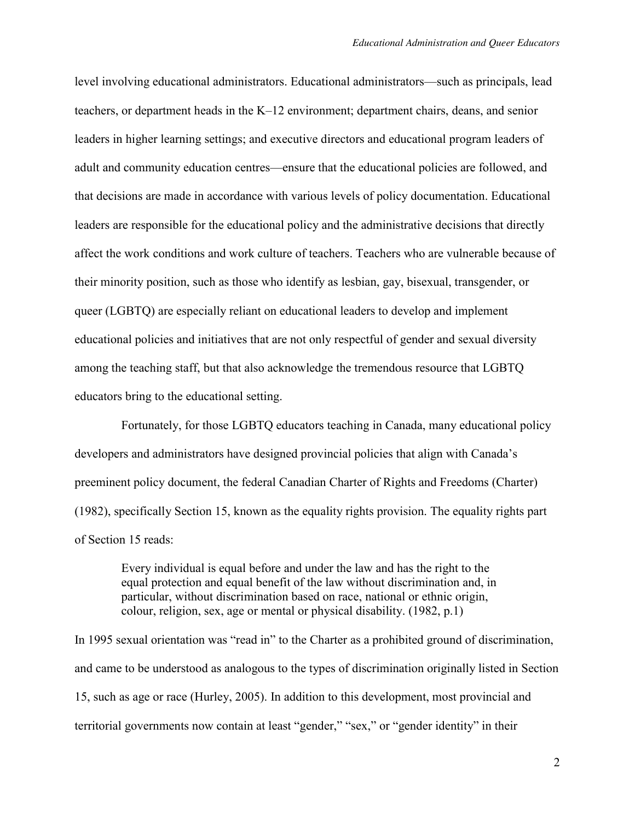level involving educational administrators. Educational administrators—such as principals, lead teachers, or department heads in the K–12 environment; department chairs, deans, and senior leaders in higher learning settings; and executive directors and educational program leaders of adult and community education centres—ensure that the educational policies are followed, and that decisions are made in accordance with various levels of policy documentation. Educational leaders are responsible for the educational policy and the administrative decisions that directly affect the work conditions and work culture of teachers. Teachers who are vulnerable because of their minority position, such as those who identify as lesbian, gay, bisexual, transgender, or queer (LGBTQ) are especially reliant on educational leaders to develop and implement educational policies and initiatives that are not only respectful of gender and sexual diversity among the teaching staff, but that also acknowledge the tremendous resource that LGBTQ educators bring to the educational setting.

Fortunately, for those LGBTQ educators teaching in Canada, many educational policy developers and administrators have designed provincial policies that align with Canada's preeminent policy document, the federal Canadian Charter of Rights and Freedoms (Charter) (1982), specifically Section 15, known as the equality rights provision. The equality rights part of Section 15 reads:

Every individual is equal before and under the law and has the right to the equal protection and equal benefit of the law without discrimination and, in particular, without discrimination based on race, national or ethnic origin, colour, religion, sex, age or mental or physical disability. (1982, p.1)

In 1995 sexual orientation was "read in" to the Charter as a prohibited ground of discrimination, and came to be understood as analogous to the types of discrimination originally listed in Section 15, such as age or race (Hurley, 2005). In addition to this development, most provincial and territorial governments now contain at least "gender," "sex," or "gender identity" in their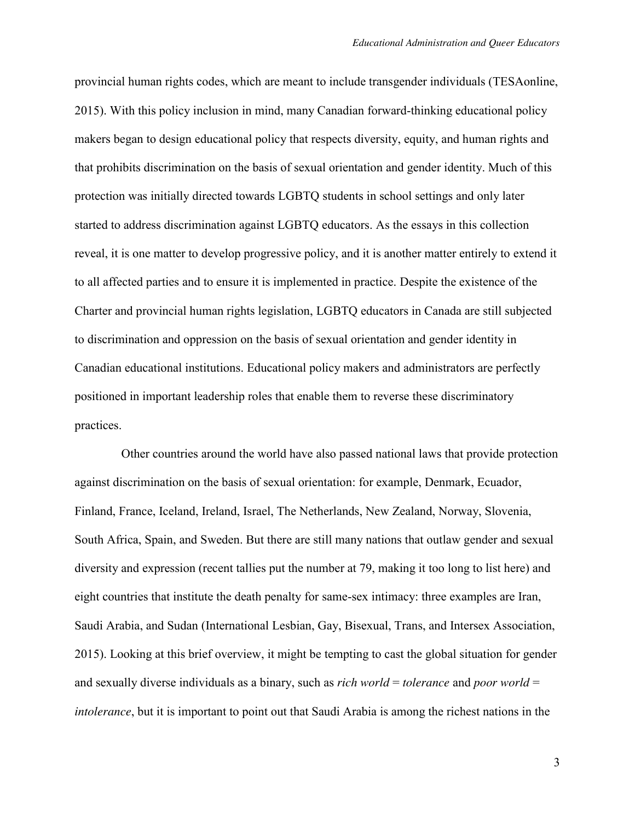provincial human rights codes, which are meant to include transgender individuals (TESAonline, 2015). With this policy inclusion in mind, many Canadian forward-thinking educational policy makers began to design educational policy that respects diversity, equity, and human rights and that prohibits discrimination on the basis of sexual orientation and gender identity. Much of this protection was initially directed towards LGBTQ students in school settings and only later started to address discrimination against LGBTQ educators. As the essays in this collection reveal, it is one matter to develop progressive policy, and it is another matter entirely to extend it to all affected parties and to ensure it is implemented in practice. Despite the existence of the Charter and provincial human rights legislation, LGBTQ educators in Canada are still subjected to discrimination and oppression on the basis of sexual orientation and gender identity in Canadian educational institutions. Educational policy makers and administrators are perfectly positioned in important leadership roles that enable them to reverse these discriminatory practices.

Other countries around the world have also passed national laws that provide protection against discrimination on the basis of sexual orientation: for example, Denmark, Ecuador, Finland, France, Iceland, Ireland, Israel, The Netherlands, New Zealand, Norway, Slovenia, South Africa, Spain, and Sweden. But there are still many nations that outlaw gender and sexual diversity and expression (recent tallies put the number at 79, making it too long to list here) and eight countries that institute the death penalty for same-sex intimacy: three examples are Iran, Saudi Arabia, and Sudan (International Lesbian, Gay, Bisexual, Trans, and Intersex Association, 2015). Looking at this brief overview, it might be tempting to cast the global situation for gender and sexually diverse individuals as a binary, such as *rich world* = *tolerance* and *poor world* = *intolerance*, but it is important to point out that Saudi Arabia is among the richest nations in the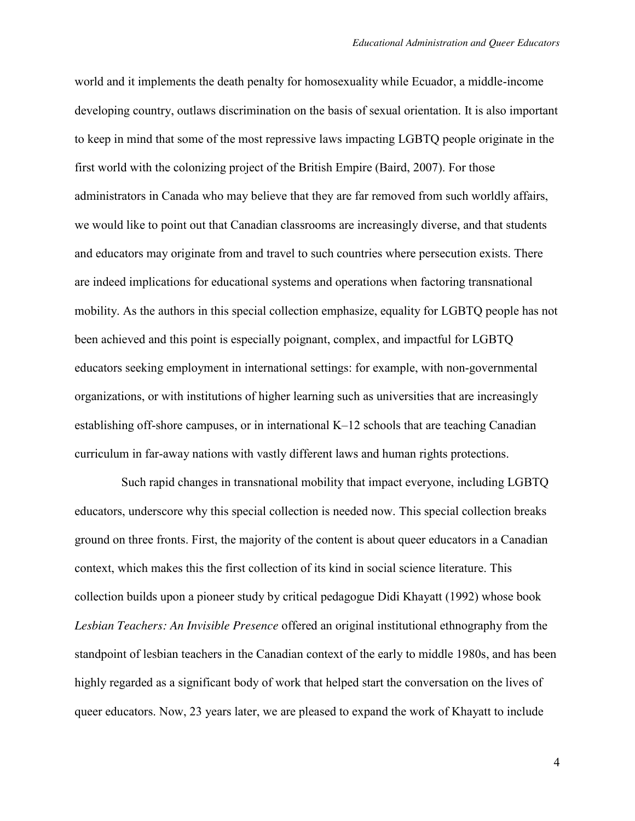world and it implements the death penalty for homosexuality while Ecuador, a middle-income developing country, outlaws discrimination on the basis of sexual orientation. It is also important to keep in mind that some of the most repressive laws impacting LGBTQ people originate in the first world with the colonizing project of the British Empire (Baird, 2007). For those administrators in Canada who may believe that they are far removed from such worldly affairs, we would like to point out that Canadian classrooms are increasingly diverse, and that students and educators may originate from and travel to such countries where persecution exists. There are indeed implications for educational systems and operations when factoring transnational mobility. As the authors in this special collection emphasize, equality for LGBTQ people has not been achieved and this point is especially poignant, complex, and impactful for LGBTQ educators seeking employment in international settings: for example, with non-governmental organizations, or with institutions of higher learning such as universities that are increasingly establishing off-shore campuses, or in international K–12 schools that are teaching Canadian curriculum in far-away nations with vastly different laws and human rights protections.

Such rapid changes in transnational mobility that impact everyone, including LGBTQ educators, underscore why this special collection is needed now. This special collection breaks ground on three fronts. First, the majority of the content is about queer educators in a Canadian context, which makes this the first collection of its kind in social science literature. This collection builds upon a pioneer study by critical pedagogue Didi Khayatt (1992) whose book *Lesbian Teachers: An Invisible Presence* offered an original institutional ethnography from the standpoint of lesbian teachers in the Canadian context of the early to middle 1980s, and has been highly regarded as a significant body of work that helped start the conversation on the lives of queer educators. Now, 23 years later, we are pleased to expand the work of Khayatt to include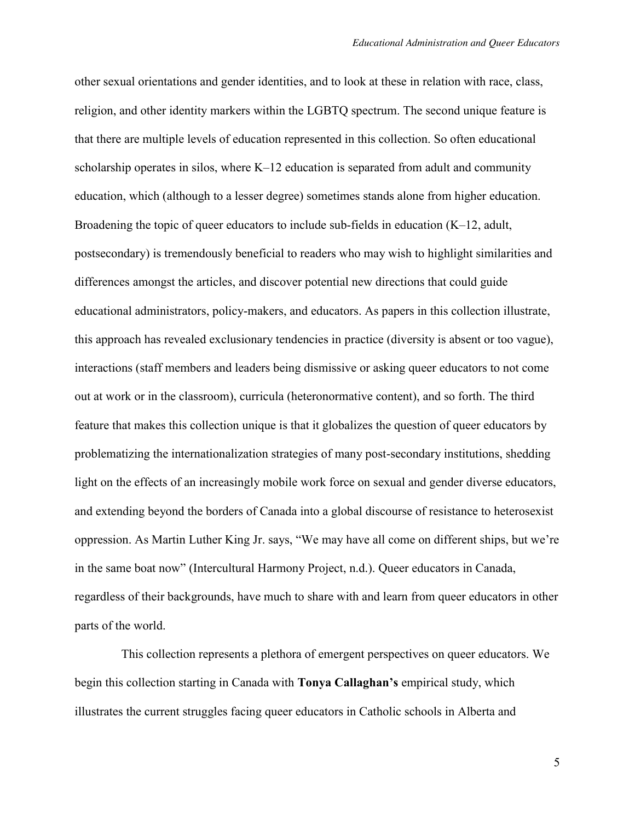other sexual orientations and gender identities, and to look at these in relation with race, class, religion, and other identity markers within the LGBTQ spectrum. The second unique feature is that there are multiple levels of education represented in this collection. So often educational scholarship operates in silos, where K–12 education is separated from adult and community education, which (although to a lesser degree) sometimes stands alone from higher education. Broadening the topic of queer educators to include sub-fields in education (K–12, adult, postsecondary) is tremendously beneficial to readers who may wish to highlight similarities and differences amongst the articles, and discover potential new directions that could guide educational administrators, policy-makers, and educators. As papers in this collection illustrate, this approach has revealed exclusionary tendencies in practice (diversity is absent or too vague), interactions (staff members and leaders being dismissive or asking queer educators to not come out at work or in the classroom), curricula (heteronormative content), and so forth. The third feature that makes this collection unique is that it globalizes the question of queer educators by problematizing the internationalization strategies of many post-secondary institutions, shedding light on the effects of an increasingly mobile work force on sexual and gender diverse educators, and extending beyond the borders of Canada into a global discourse of resistance to heterosexist oppression. As Martin Luther King Jr. says, "We may have all come on different ships, but we're in the same boat now" (Intercultural Harmony Project, n.d.). Queer educators in Canada, regardless of their backgrounds, have much to share with and learn from queer educators in other parts of the world.

This collection represents a plethora of emergent perspectives on queer educators. We begin this collection starting in Canada with **Tonya Callaghan's** empirical study, which illustrates the current struggles facing queer educators in Catholic schools in Alberta and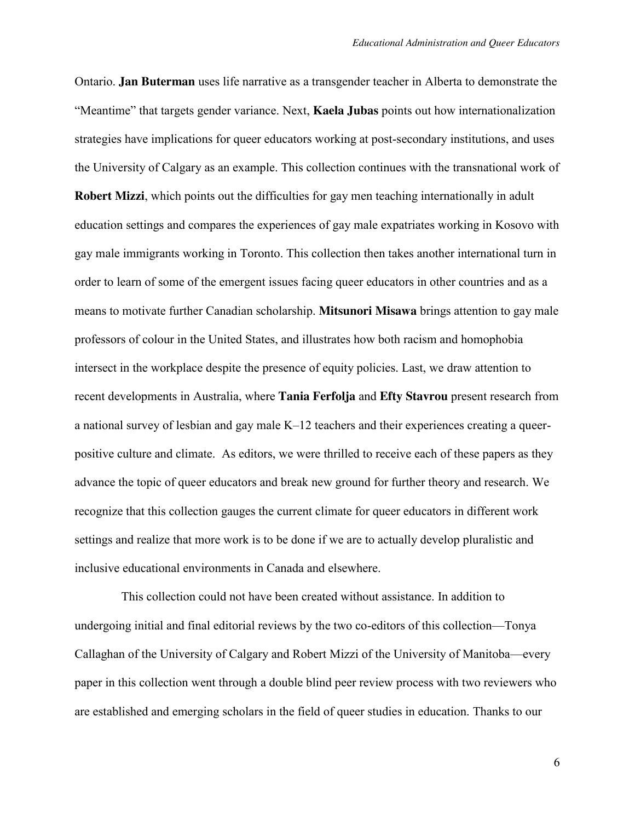Ontario. **Jan Buterman** uses life narrative as a transgender teacher in Alberta to demonstrate the "Meantime" that targets gender variance. Next, **Kaela Jubas** points out how internationalization strategies have implications for queer educators working at post-secondary institutions, and uses the University of Calgary as an example. This collection continues with the transnational work of **Robert Mizzi**, which points out the difficulties for gay men teaching internationally in adult education settings and compares the experiences of gay male expatriates working in Kosovo with gay male immigrants working in Toronto. This collection then takes another international turn in order to learn of some of the emergent issues facing queer educators in other countries and as a means to motivate further Canadian scholarship. **Mitsunori Misawa** brings attention to gay male professors of colour in the United States, and illustrates how both racism and homophobia intersect in the workplace despite the presence of equity policies. Last, we draw attention to recent developments in Australia, where **Tania Ferfolja** and **Efty Stavrou** present research from a national survey of lesbian and gay male K–12 teachers and their experiences creating a queerpositive culture and climate. As editors, we were thrilled to receive each of these papers as they advance the topic of queer educators and break new ground for further theory and research. We recognize that this collection gauges the current climate for queer educators in different work settings and realize that more work is to be done if we are to actually develop pluralistic and inclusive educational environments in Canada and elsewhere.

This collection could not have been created without assistance. In addition to undergoing initial and final editorial reviews by the two co-editors of this collection—Tonya Callaghan of the University of Calgary and Robert Mizzi of the University of Manitoba—every paper in this collection went through a double blind peer review process with two reviewers who are established and emerging scholars in the field of queer studies in education. Thanks to our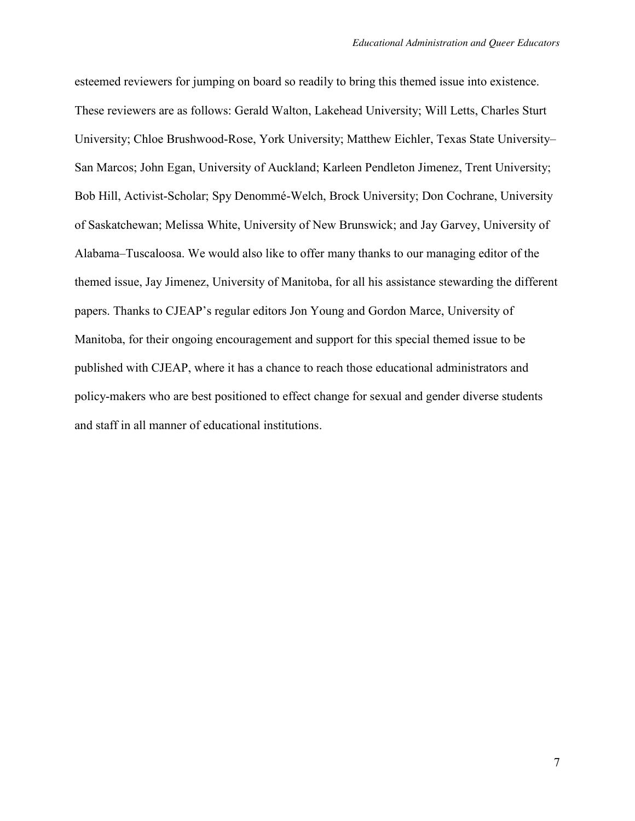esteemed reviewers for jumping on board so readily to bring this themed issue into existence. These reviewers are as follows: Gerald Walton, Lakehead University; Will Letts, Charles Sturt University; Chloe Brushwood-Rose, York University; Matthew Eichler, Texas State University– San Marcos; John Egan, University of Auckland; Karleen Pendleton Jimenez, Trent University; Bob Hill, Activist-Scholar; Spy Denommé-Welch, Brock University; Don Cochrane, University of Saskatchewan; Melissa White, University of New Brunswick; and Jay Garvey, University of Alabama–Tuscaloosa. We would also like to offer many thanks to our managing editor of the themed issue, Jay Jimenez, University of Manitoba, for all his assistance stewarding the different papers. Thanks to CJEAP's regular editors Jon Young and Gordon Marce, University of Manitoba, for their ongoing encouragement and support for this special themed issue to be published with CJEAP, where it has a chance to reach those educational administrators and policy-makers who are best positioned to effect change for sexual and gender diverse students and staff in all manner of educational institutions.